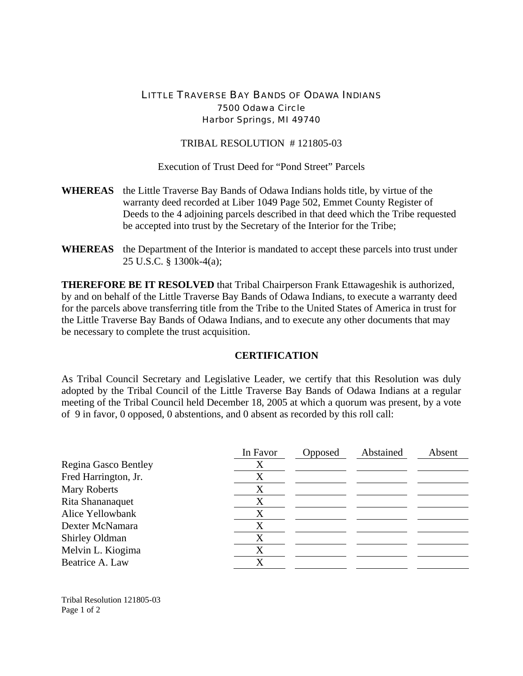## LITTLE TRAVERSE BAY BANDS OF ODAWA INDIANS 7500 Odawa Circle Harbor Springs, MI 49740

## TRIBAL RESOLUTION # 121805-03

Execution of Trust Deed for "Pond Street" Parcels

- **WHEREAS** the Little Traverse Bay Bands of Odawa Indians holds title, by virtue of the warranty deed recorded at Liber 1049 Page 502, Emmet County Register of Deeds to the 4 adjoining parcels described in that deed which the Tribe requested be accepted into trust by the Secretary of the Interior for the Tribe;
- **WHEREAS** the Department of the Interior is mandated to accept these parcels into trust under 25 U.S.C. § 1300k-4(a);

**THEREFORE BE IT RESOLVED** that Tribal Chairperson Frank Ettawageshik is authorized, by and on behalf of the Little Traverse Bay Bands of Odawa Indians, to execute a warranty deed for the parcels above transferring title from the Tribe to the United States of America in trust for the Little Traverse Bay Bands of Odawa Indians, and to execute any other documents that may be necessary to complete the trust acquisition.

## **CERTIFICATION**

As Tribal Council Secretary and Legislative Leader, we certify that this Resolution was duly adopted by the Tribal Council of the Little Traverse Bay Bands of Odawa Indians at a regular meeting of the Tribal Council held December 18, 2005 at which a quorum was present, by a vote of 9 in favor, 0 opposed, 0 abstentions, and 0 absent as recorded by this roll call:

|                      | In Favor | Opposed | Abstained | Absent |
|----------------------|----------|---------|-----------|--------|
| Regina Gasco Bentley | Х        |         |           |        |
| Fred Harrington, Jr. | X        |         |           |        |
| <b>Mary Roberts</b>  | X        |         |           |        |
| Rita Shananaquet     | Х        |         |           |        |
| Alice Yellowbank     | X        |         |           |        |
| Dexter McNamara      | X        |         |           |        |
| Shirley Oldman       | Х        |         |           |        |
| Melvin L. Kiogima    | X        |         |           |        |
| Beatrice A. Law      | X        |         |           |        |

Tribal Resolution 121805-03 Page 1 of 2